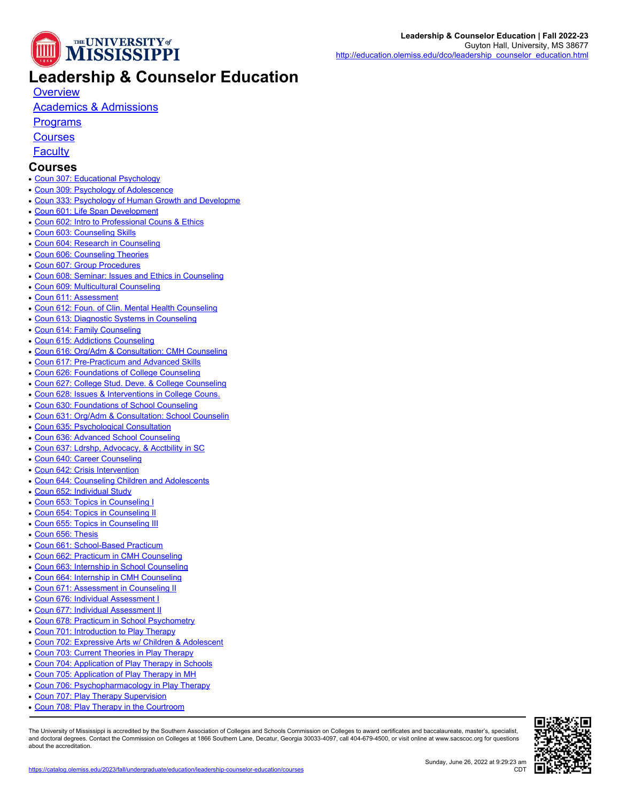

## **Leadership & Counselor Education**

**[Overview](https://catalog.olemiss.edu/education/leadership-counselor-education)** 

## [Academics & Admissions](https://catalog.olemiss.edu/education/leadership-counselor-education/academics)

**[Programs](https://catalog.olemiss.edu/education/leadership-counselor-education/programs)** 

**[Courses](https://catalog.olemiss.edu/education/leadership-counselor-education/courses)** 

**[Faculty](https://catalog.olemiss.edu/education/leadership-counselor-education/faculty)** 

## **Courses**

- [Coun 307: Educational Psychology](https://catalog.olemiss.edu/education/leadership-counselor-education/coun-307)
- [Coun 309: Psychology of Adolescence](https://catalog.olemiss.edu/education/leadership-counselor-education/coun-309)
- [Coun 333: Psychology of Human Growth and Developme](https://catalog.olemiss.edu/education/leadership-counselor-education/coun-333)
- [Coun 601: Life Span Development](https://catalog.olemiss.edu/education/leadership-counselor-education/coun-601)
- [Coun 602: Intro to Professional Couns & Ethics](https://catalog.olemiss.edu/education/leadership-counselor-education/coun-602)
- [Coun 603: Counseling Skills](https://catalog.olemiss.edu/education/leadership-counselor-education/coun-603)
- [Coun 604: Research in Counseling](https://catalog.olemiss.edu/education/leadership-counselor-education/coun-604)
- [Coun 606: Counseling Theories](https://catalog.olemiss.edu/education/leadership-counselor-education/coun-606)
- [Coun 607: Group Procedures](https://catalog.olemiss.edu/education/leadership-counselor-education/coun-607)
- [Coun 608: Seminar: Issues and Ethics in Counseling](https://catalog.olemiss.edu/education/leadership-counselor-education/coun-608)
- [Coun 609: Multicultural Counseling](https://catalog.olemiss.edu/education/leadership-counselor-education/coun-609)
- [Coun 611: Assessment](https://catalog.olemiss.edu/education/leadership-counselor-education/coun-611)
- [Coun 612: Foun. of Clin. Mental Health Counseling](https://catalog.olemiss.edu/education/leadership-counselor-education/coun-612)
- [Coun 613: Diagnostic Systems in Counseling](https://catalog.olemiss.edu/education/leadership-counselor-education/coun-613)
- [Coun 614: Family Counseling](https://catalog.olemiss.edu/education/leadership-counselor-education/coun-614)
- [Coun 615: Addictions Counseling](https://catalog.olemiss.edu/education/leadership-counselor-education/coun-615)
- [Coun 616: Org/Adm & Consultation: CMH Counseling](https://catalog.olemiss.edu/education/leadership-counselor-education/coun-616)
- [Coun 617: Pre-Practicum and Advanced Skills](https://catalog.olemiss.edu/education/leadership-counselor-education/coun-617)
- [Coun 626: Foundations of College Counseling](https://catalog.olemiss.edu/education/leadership-counselor-education/coun-626)
- [Coun 627: College Stud. Deve. & College Counseling](https://catalog.olemiss.edu/education/leadership-counselor-education/coun-627)
- [Coun 628: Issues & Interventions in College Couns.](https://catalog.olemiss.edu/education/leadership-counselor-education/coun-628)
- [Coun 630: Foundations of School Counseling](https://catalog.olemiss.edu/education/leadership-counselor-education/coun-630)
- [Coun 631: Org/Adm & Consultation: School Counselin](https://catalog.olemiss.edu/education/leadership-counselor-education/coun-631)
- [Coun 635: Psychological Consultation](https://catalog.olemiss.edu/education/leadership-counselor-education/coun-635)
- [Coun 636: Advanced School Counseling](https://catalog.olemiss.edu/education/leadership-counselor-education/coun-636)
- [Coun 637: Ldrshp, Advocacy, & Acctbility in SC](https://catalog.olemiss.edu/education/leadership-counselor-education/coun-637)
- [Coun 640: Career Counseling](https://catalog.olemiss.edu/education/leadership-counselor-education/coun-640)
- [Coun 642: Crisis Intervention](https://catalog.olemiss.edu/education/leadership-counselor-education/coun-642)
- [Coun 644: Counseling Children and Adolescents](https://catalog.olemiss.edu/education/leadership-counselor-education/coun-644)
- [Coun 652: Individual Study](https://catalog.olemiss.edu/education/leadership-counselor-education/coun-652)
- [Coun 653: Topics in Counseling I](https://catalog.olemiss.edu/education/leadership-counselor-education/coun-653)
- [Coun 654: Topics in Counseling II](https://catalog.olemiss.edu/education/leadership-counselor-education/coun-654)
- [Coun 655: Topics in Counseling III](https://catalog.olemiss.edu/education/leadership-counselor-education/coun-655)
- [Coun 656: Thesis](https://catalog.olemiss.edu/education/leadership-counselor-education/coun-656)
- [Coun 661: School-Based Practicum](https://catalog.olemiss.edu/education/leadership-counselor-education/coun-661)
- [Coun 662: Practicum in CMH Counseling](https://catalog.olemiss.edu/education/leadership-counselor-education/coun-662)
- [Coun 663: Internship in School Counseling](https://catalog.olemiss.edu/education/leadership-counselor-education/coun-663)
- [Coun 664: Internship in CMH Counseling](https://catalog.olemiss.edu/education/leadership-counselor-education/coun-664)
- [Coun 671: Assessment in Counseling II](https://catalog.olemiss.edu/education/leadership-counselor-education/coun-671)
- [Coun 676: Individual Assessment I](https://catalog.olemiss.edu/education/leadership-counselor-education/coun-676)
- [Coun 677: Individual Assessment II](https://catalog.olemiss.edu/education/leadership-counselor-education/coun-677)
- [Coun 678: Practicum in School Psychometry](https://catalog.olemiss.edu/education/leadership-counselor-education/coun-678)
- [Coun 701: Introduction to Play Therapy](https://catalog.olemiss.edu/education/leadership-counselor-education/coun-701)
- [Coun 702: Expressive Arts w/ Children & Adolescent](https://catalog.olemiss.edu/education/leadership-counselor-education/coun-702)
- 
- [Coun 703: Current Theories in Play Therapy](https://catalog.olemiss.edu/education/leadership-counselor-education/coun-703)
- [Coun 704: Application of Play Therapy in Schools](https://catalog.olemiss.edu/education/leadership-counselor-education/coun-704)
- [Coun 705: Application of Play Therapy in MH](https://catalog.olemiss.edu/education/leadership-counselor-education/coun-705)
- [Coun 706: Psychopharmacology in Play Therapy](https://catalog.olemiss.edu/education/leadership-counselor-education/coun-706)
- [Coun 707: Play Therapy Supervision](https://catalog.olemiss.edu/education/leadership-counselor-education/coun-707)
- [Coun 708: Play Therapy in the Courtroom](https://catalog.olemiss.edu/education/leadership-counselor-education/coun-708)

The University of Mississippi is accredited by the Southern Association of Colleges and Schools Commission on Colleges to award certificates and baccalaureate, master's, specialist,<br>and doctoral degrees. Contact the Commis about the accreditation.

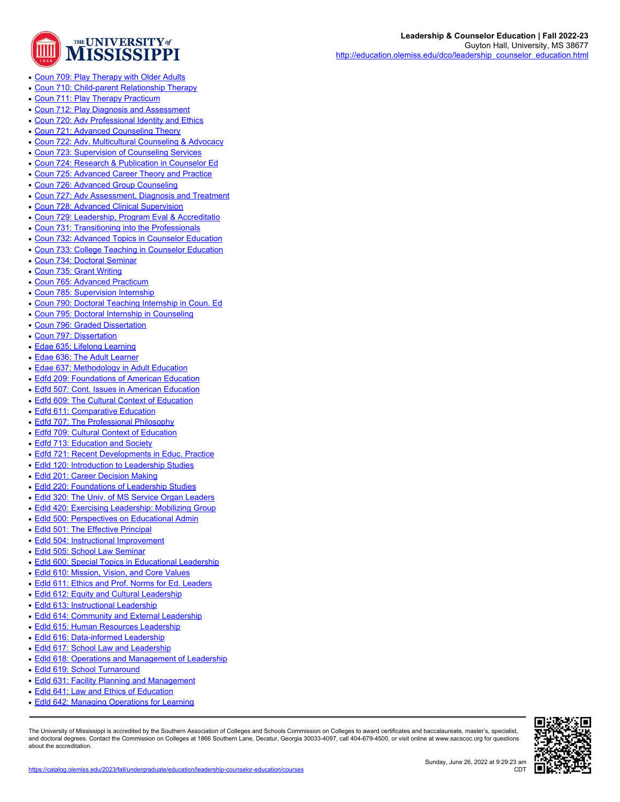

- [Coun 709: Play Therapy with Older Adults](https://catalog.olemiss.edu/education/leadership-counselor-education/coun-709)
- [Coun 710: Child-parent Relationship Therapy](https://catalog.olemiss.edu/education/leadership-counselor-education/coun-710)
- [Coun 711: Play Therapy Practicum](https://catalog.olemiss.edu/education/leadership-counselor-education/coun-711)
- [Coun 712: Play Diagnosis and Assessment](https://catalog.olemiss.edu/education/leadership-counselor-education/coun-712)
- [Coun 720: Adv Professional Identity and Ethics](https://catalog.olemiss.edu/education/leadership-counselor-education/coun-720)
- [Coun 721: Advanced Counseling Theory](https://catalog.olemiss.edu/education/leadership-counselor-education/coun-721)
- [Coun 722: Adv. Multicultural Counseling & Advocacy](https://catalog.olemiss.edu/education/leadership-counselor-education/coun-722)
- [Coun 723: Supervision of Counseling Services](https://catalog.olemiss.edu/education/leadership-counselor-education/coun-723)
- [Coun 724: Research & Publication in Counselor Ed](https://catalog.olemiss.edu/education/leadership-counselor-education/coun-724)
- [Coun 725: Advanced Career Theory and Practice](https://catalog.olemiss.edu/education/leadership-counselor-education/coun-725)
- [Coun 726: Advanced Group Counseling](https://catalog.olemiss.edu/education/leadership-counselor-education/coun-726)
- [Coun 727: Adv Assessment, Diagnosis and Treatment](https://catalog.olemiss.edu/education/leadership-counselor-education/coun-727)
- [Coun 728: Advanced Clinical Supervision](https://catalog.olemiss.edu/education/leadership-counselor-education/coun-728)
- [Coun 729: Leadership, Program Eval & Accreditatio](https://catalog.olemiss.edu/education/leadership-counselor-education/coun-729)
- [Coun 731: Transitioning into the Professionals](https://catalog.olemiss.edu/education/leadership-counselor-education/coun-731)
- [Coun 732: Advanced Topics in Counselor Education](https://catalog.olemiss.edu/education/leadership-counselor-education/coun-732)
- [Coun 733: College Teaching in Counselor Education](https://catalog.olemiss.edu/education/leadership-counselor-education/coun-733)
- [Coun 734: Doctoral Seminar](https://catalog.olemiss.edu/education/leadership-counselor-education/coun-734)
- [Coun 735: Grant Writing](https://catalog.olemiss.edu/education/leadership-counselor-education/coun-735)
- [Coun 765: Advanced Practicum](https://catalog.olemiss.edu/education/leadership-counselor-education/coun-765)
- [Coun 785: Supervision Internship](https://catalog.olemiss.edu/education/leadership-counselor-education/coun-785)
- [Coun 790: Doctoral Teaching Internship in Coun. Ed](https://catalog.olemiss.edu/education/leadership-counselor-education/coun-790)
- [Coun 795: Doctoral Internship in Counseling](https://catalog.olemiss.edu/education/leadership-counselor-education/coun-795)
- [Coun 796: Graded Dissertation](https://catalog.olemiss.edu/education/leadership-counselor-education/coun-796)
- [Coun 797: Dissertation](https://catalog.olemiss.edu/education/leadership-counselor-education/coun-797)
- [Edae 635: Lifelong Learning](https://catalog.olemiss.edu/education/leadership-counselor-education/edae-635)
- [Edae 636: The Adult Learner](https://catalog.olemiss.edu/education/leadership-counselor-education/edae-636)
- **[Edae 637: Methodology in Adult Education](https://catalog.olemiss.edu/education/leadership-counselor-education/edae-637)**
- [Edfd 209: Foundations of American Education](https://catalog.olemiss.edu/education/leadership-counselor-education/edfd-209)
- [Edfd 507: Cont. Issues in American Education](https://catalog.olemiss.edu/education/leadership-counselor-education/edfd-507)
- [Edfd 609: The Cultural Context of Education](https://catalog.olemiss.edu/education/leadership-counselor-education/edfd-609)
- [Edfd 611: Comparative Education](https://catalog.olemiss.edu/education/leadership-counselor-education/edfd-611)
- [Edfd 707: The Professional Philosophy](https://catalog.olemiss.edu/education/leadership-counselor-education/edfd-707)
- [Edfd 709: Cultural Context of Education](https://catalog.olemiss.edu/education/leadership-counselor-education/edfd-709)
- [Edfd 713: Education and Society](https://catalog.olemiss.edu/education/leadership-counselor-education/edfd-713)
- [Edfd 721: Recent Developments in Educ. Practice](https://catalog.olemiss.edu/education/leadership-counselor-education/edfd-721)
- [Edld 120: Introduction to Leadership Studies](https://catalog.olemiss.edu/education/leadership-counselor-education/edld-120)
- **[Edld 201: Career Decision Making](https://catalog.olemiss.edu/education/leadership-counselor-education/edld-201)**
- [Edld 220: Foundations of Leadership Studies](https://catalog.olemiss.edu/education/leadership-counselor-education/edld-220)
- [Edld 320: The Univ. of MS Service Organ Leaders](https://catalog.olemiss.edu/education/leadership-counselor-education/edld-320)
- [Edld 420: Exercising Leadership: Mobilizing Group](https://catalog.olemiss.edu/education/leadership-counselor-education/edld-420)
- [Edld 500: Perspectives on Educational Admin](https://catalog.olemiss.edu/education/leadership-counselor-education/edld-500)
- [Edld 501: The Effective Principal](https://catalog.olemiss.edu/education/leadership-counselor-education/edld-501)
- [Edld 504: Instructional Improvement](https://catalog.olemiss.edu/education/leadership-counselor-education/edld-504)
- [Edld 505: School Law Seminar](https://catalog.olemiss.edu/education/leadership-counselor-education/edld-505)
- [Edld 600: Special Topics in Educational Leadership](https://catalog.olemiss.edu/education/leadership-counselor-education/edld-600)
- [Edld 610: Mission, Vision, and Core Values](https://catalog.olemiss.edu/education/leadership-counselor-education/edld-610)
- [Edld 611: Ethics and Prof. Norms for Ed. Leaders](https://catalog.olemiss.edu/education/leadership-counselor-education/edld-611)
- [Edld 612: Equity and Cultural Leadership](https://catalog.olemiss.edu/education/leadership-counselor-education/edld-612)
- [Edld 613: Instructional Leadership](https://catalog.olemiss.edu/education/leadership-counselor-education/edld-613)
- [Edld 614: Community and External Leadership](https://catalog.olemiss.edu/education/leadership-counselor-education/edld-614)
- [Edld 615: Human Resources Leadership](https://catalog.olemiss.edu/education/leadership-counselor-education/edld-615)
- [Edld 616: Data-informed Leadership](https://catalog.olemiss.edu/education/leadership-counselor-education/edld-616)
- [Edld 617: School Law and Leadership](https://catalog.olemiss.edu/education/leadership-counselor-education/edld-617)
- [Edld 618: Operations and Management of Leadership](https://catalog.olemiss.edu/education/leadership-counselor-education/edld-618)
- [Edld 619: School Turnaround](https://catalog.olemiss.edu/education/leadership-counselor-education/edld-619)
- [Edld 631: Facility Planning and Management](https://catalog.olemiss.edu/education/leadership-counselor-education/edld-631)
- [Edld 641: Law and Ethics of Education](https://catalog.olemiss.edu/education/leadership-counselor-education/edld-641)
- [Edld 642: Managing Operations for Learning](https://catalog.olemiss.edu/education/leadership-counselor-education/edld-642)

The University of Mississippi is accredited by the Southern Association of Colleges and Schools Commission on Colleges to award certificates and baccalaureate, master's, specialist,<br>and doctoral degrees. Contact the Commis about the accreditation.